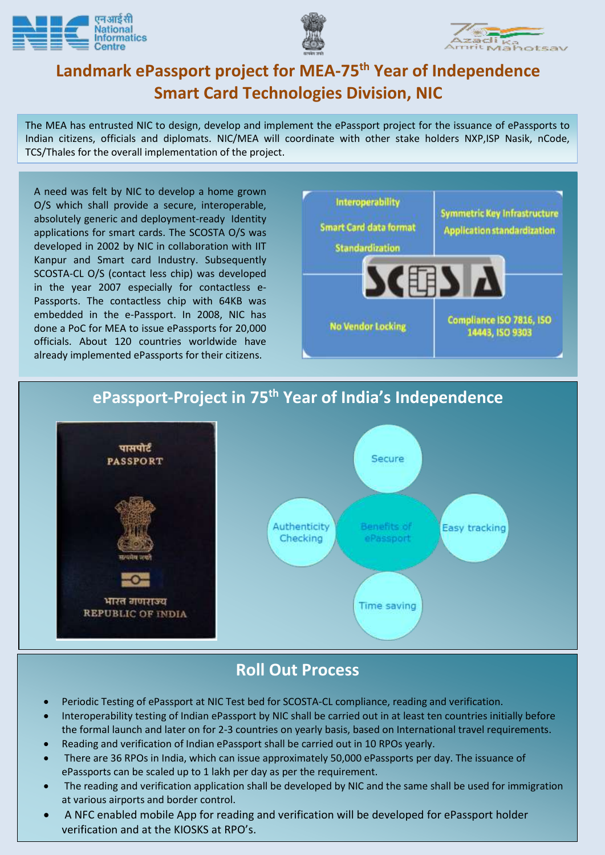





## **Landmark ePassport project for MEA-75th Year of Independence Smart Card Technologies Division, NIC**

The MEA has entrusted NIC to design, develop and implement the ePassport project for the issuance of ePassports to Indian citizens, officials and diplomats. NIC/MEA will coordinate with other stake holders NXP,ISP Nasik, nCode, TCS/Thales for the overall implementation of the project.

 done a PoC for MEA to issue ePassports for 20,000 A need was felt by NIC to develop a home grown O/S which shall provide a secure, interoperable, absolutely generic and deployment-ready Identity applications for smart cards. The SCOSTA O/S was developed in 2002 by NIC in collaboration with IIT Kanpur and Smart card Industry. Subsequently SCOSTA-CL O/S (contact less chip) was developed in the year 2007 especially for contactless e-Passports. The contactless chip with 64KB was embedded in the e-Passport. In 2008, NIC has officials. About 120 countries worldwide have already implemented ePassports for their citizens.



## **ePassport-Project in 75th Year of India's Independence**



## **Roll Out Process**

- Periodic Testing of ePassport at NIC Test bed for SCOSTA-CL compliance, reading and verification.
- Interoperability testing of Indian ePassport by NIC shall be carried out in at least ten countries initially before the formal launch and later on for 2-3 countries on yearly basis, based on International travel requirements.
- Reading and verification of Indian ePassport shall be carried out in 10 RPOs yearly.
- There are 36 RPOs in India, which can issue approximately 50,000 ePassports per day. The issuance of ePassports can be scaled up to 1 lakh per day as per the requirement.
- The reading and verification application shall be developed by NIC and the same shall be used for immigration at various airports and border control.
- A NFC enabled mobile App for reading and verification will be developed for ePassport holder verification and at the KIOSKS at RPO's.